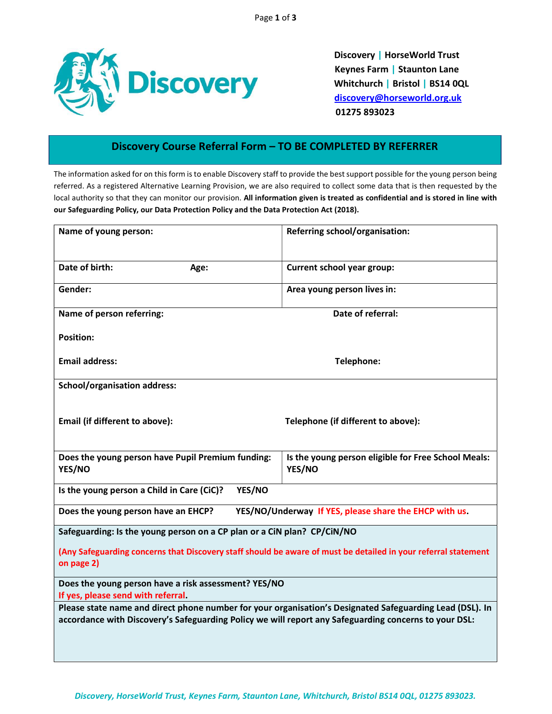

Discovery | HorseWorld Trust Keynes Farm | Staunton Lane Whitchurch | Bristol | BS14 0QL discovery@horseworld.org.uk 01275 893023

## Discovery Course Referral Form – TO BE COMPLETED BY REFERRER

The information asked for on this form is to enable Discovery staff to provide the best support possible for the young person being referred. As a registered Alternative Learning Provision, we are also required to collect some data that is then requested by the local authority so that they can monitor our provision. All information given is treated as confidential and is stored in line with our Safeguarding Policy, our Data Protection Policy and the Data Protection Act (2018).

| Name of young person:                                                                                                                                                                                             | Referring school/organisation:                                |  |  |  |
|-------------------------------------------------------------------------------------------------------------------------------------------------------------------------------------------------------------------|---------------------------------------------------------------|--|--|--|
| Date of birth:<br>Age:                                                                                                                                                                                            | <b>Current school year group:</b>                             |  |  |  |
| Gender:                                                                                                                                                                                                           | Area young person lives in:                                   |  |  |  |
| Name of person referring:                                                                                                                                                                                         | Date of referral:                                             |  |  |  |
| <b>Position:</b>                                                                                                                                                                                                  |                                                               |  |  |  |
| <b>Email address:</b>                                                                                                                                                                                             | Telephone:                                                    |  |  |  |
| <b>School/organisation address:</b>                                                                                                                                                                               |                                                               |  |  |  |
| Email (if different to above):                                                                                                                                                                                    | Telephone (if different to above):                            |  |  |  |
| Does the young person have Pupil Premium funding:<br>YES/NO                                                                                                                                                       | Is the young person eligible for Free School Meals:<br>YES/NO |  |  |  |
| Is the young person a Child in Care (CiC)?<br>YES/NO                                                                                                                                                              |                                                               |  |  |  |
| YES/NO/Underway If YES, please share the EHCP with us.<br>Does the young person have an EHCP?                                                                                                                     |                                                               |  |  |  |
| Safeguarding: Is the young person on a CP plan or a CiN plan? CP/CiN/NO                                                                                                                                           |                                                               |  |  |  |
| (Any Safeguarding concerns that Discovery staff should be aware of must be detailed in your referral statement<br>on page 2)                                                                                      |                                                               |  |  |  |
| Does the young person have a risk assessment? YES/NO                                                                                                                                                              |                                                               |  |  |  |
| If yes, please send with referral.                                                                                                                                                                                |                                                               |  |  |  |
| Please state name and direct phone number for your organisation's Designated Safeguarding Lead (DSL). In<br>accordance with Discovery's Safeguarding Policy we will report any Safeguarding concerns to your DSL: |                                                               |  |  |  |
|                                                                                                                                                                                                                   |                                                               |  |  |  |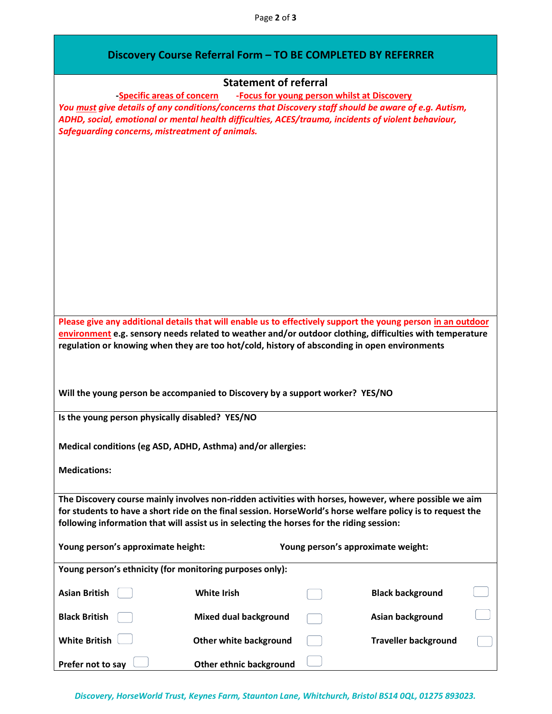|  | Discovery Course Referral Form - TO BE COMPLETED BY REFERRER |
|--|--------------------------------------------------------------|
|--|--------------------------------------------------------------|

|                                                                                                                                                                                                          | <b>Statement of referral</b>  |                                             |                             |
|----------------------------------------------------------------------------------------------------------------------------------------------------------------------------------------------------------|-------------------------------|---------------------------------------------|-----------------------------|
| -Specific areas of concern<br>You must give details of any conditions/concerns that Discovery staff should be aware of e.g. Autism,                                                                      |                               | -Focus for young person whilst at Discovery |                             |
| ADHD, social, emotional or mental health difficulties, ACES/trauma, incidents of violent behaviour,<br><b>Safeguarding concerns, mistreatment of animals.</b>                                            |                               |                                             |                             |
|                                                                                                                                                                                                          |                               |                                             |                             |
|                                                                                                                                                                                                          |                               |                                             |                             |
|                                                                                                                                                                                                          |                               |                                             |                             |
|                                                                                                                                                                                                          |                               |                                             |                             |
|                                                                                                                                                                                                          |                               |                                             |                             |
|                                                                                                                                                                                                          |                               |                                             |                             |
|                                                                                                                                                                                                          |                               |                                             |                             |
|                                                                                                                                                                                                          |                               |                                             |                             |
|                                                                                                                                                                                                          |                               |                                             |                             |
|                                                                                                                                                                                                          |                               |                                             |                             |
|                                                                                                                                                                                                          |                               |                                             |                             |
|                                                                                                                                                                                                          |                               |                                             |                             |
|                                                                                                                                                                                                          |                               |                                             |                             |
| Please give any additional details that will enable us to effectively support the young person in an outdoor                                                                                             |                               |                                             |                             |
| environment e.g. sensory needs related to weather and/or outdoor clothing, difficulties with temperature                                                                                                 |                               |                                             |                             |
| regulation or knowing when they are too hot/cold, history of absconding in open environments                                                                                                             |                               |                                             |                             |
|                                                                                                                                                                                                          |                               |                                             |                             |
|                                                                                                                                                                                                          |                               |                                             |                             |
| Will the young person be accompanied to Discovery by a support worker? YES/NO                                                                                                                            |                               |                                             |                             |
|                                                                                                                                                                                                          |                               |                                             |                             |
| Is the young person physically disabled? YES/NO                                                                                                                                                          |                               |                                             |                             |
|                                                                                                                                                                                                          |                               |                                             |                             |
| Medical conditions (eg ASD, ADHD, Asthma) and/or allergies:                                                                                                                                              |                               |                                             |                             |
|                                                                                                                                                                                                          |                               |                                             |                             |
| <b>Medications:</b>                                                                                                                                                                                      |                               |                                             |                             |
|                                                                                                                                                                                                          |                               |                                             |                             |
| The Discovery course mainly involves non-ridden activities with horses, however, where possible we aim                                                                                                   |                               |                                             |                             |
| for students to have a short ride on the final session. HorseWorld's horse welfare policy is to request the<br>following information that will assist us in selecting the horses for the riding session: |                               |                                             |                             |
|                                                                                                                                                                                                          |                               |                                             |                             |
| Young person's approximate height:                                                                                                                                                                       |                               | Young person's approximate weight:          |                             |
|                                                                                                                                                                                                          |                               |                                             |                             |
|                                                                                                                                                                                                          |                               |                                             |                             |
| Young person's ethnicity (for monitoring purposes only):                                                                                                                                                 |                               |                                             |                             |
|                                                                                                                                                                                                          |                               |                                             |                             |
| <b>Asian British</b>                                                                                                                                                                                     | <b>White Irish</b>            |                                             | <b>Black background</b>     |
| <b>Black British</b>                                                                                                                                                                                     | <b>Mixed dual background</b>  |                                             | Asian background            |
| <b>White British</b>                                                                                                                                                                                     | <b>Other white background</b> |                                             | <b>Traveller background</b> |

Discovery, HorseWorld Trust, Keynes Farm, Staunton Lane, Whitchurch, Bristol BS14 0QL, 01275 893023.

Prefer not to say **DETE 10** Other ethnic background